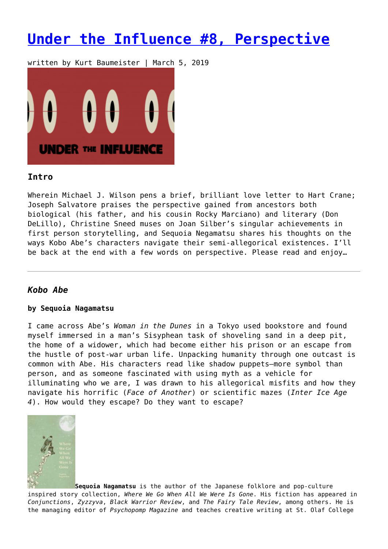# **[Under the Influence #8, Perspective](https://entropymag.org/under-the-influence-8-perspective/)**

written by Kurt Baumeister | March 5, 2019



## **Intro**

Wherein Michael J. Wilson pens a brief, brilliant love letter to Hart Crane; Joseph Salvatore praises the perspective gained from ancestors both biological (his father, and his cousin Rocky Marciano) and literary (Don DeLillo), Christine Sneed muses on Joan Silber's singular achievements in first person storytelling, and Sequoia Negamatsu shares his thoughts on the ways Kobo Abe's characters navigate their semi-allegorical existences. I'll be back at the end with a few words on perspective. Please read and enjoy…

# *Kobo Abe*

### **by Sequoia Nagamatsu**

I came across Abe's *Woman in the Dunes* in a Tokyo used bookstore and found myself immersed in a man's Sisyphean task of shoveling sand in a deep pit, the home of a widower, which had become either his prison or an escape from the hustle of post-war urban life. Unpacking humanity through one outcast is common with Abe. His characters read like shadow puppets—more symbol than person, and as someone fascinated with using myth as a vehicle for illuminating who we are, I was drawn to his allegorical misfits and how they navigate his horrific (*Face of Another*) or scientific mazes (*Inter Ice Age 4*). How would they escape? Do they want to escape?



**Sequoia Nagamatsu** is the author of the Japanese folklore and pop-culture inspired story collection, *Where We Go When All We Were Is Gone*. His fiction has appeared in *Conjunctions*, *Zyzzyva*, *Black Warrior Review*, and *The Fairy Tale Review*, among others. He is the managing editor of *Psychopomp Magazine* and teaches creative writing at St. Olaf College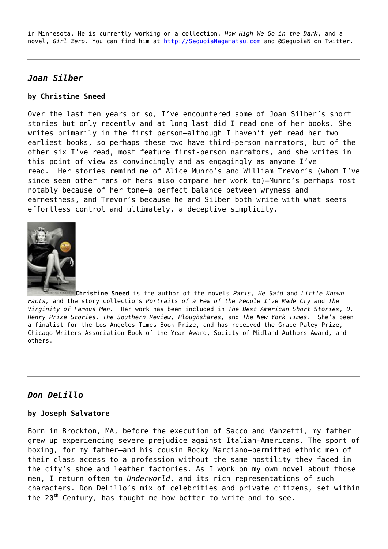in Minnesota. He is currently working on a collection, *How High We Go in the Dark*, and a novel, *Girl Zero*. You can find him at<http://SequoiaNagamatsu.com>and @SequoiaN on Twitter.

## *Joan Silber*

#### **by Christine Sneed**

Over the last ten years or so, I've encountered some of Joan Silber's short stories but only recently and at long last did I read one of her books. She writes primarily in the first person—although I haven't yet read her two earliest books, so perhaps these two have third-person narrators, but of the other six I've read, most feature first-person narrators, and she writes in this point of view as convincingly and as engagingly as anyone I've read. Her stories remind me of Alice Munro's and William Trevor's (whom I've since seen other fans of hers also compare her work to)—Munro's perhaps most notably because of her tone—a perfect balance between wryness and earnestness, and Trevor's because he and Silber both write with what seems effortless control and ultimately, a deceptive simplicity.



**Christine Sneed** is the author of the novels *Paris, He Said* and *Little Known Facts,* and the story collections *Portraits of a Few of the People I've Made Cry* and *The Virginity of Famous Men.* Her work has been included in *The Best American Short Stories*, *O. Henry Prize Stories, The Southern Review, Ploughshares,* and *The New York Times*. She's been a finalist for the Los Angeles Times Book Prize, and has received the Grace Paley Prize, Chicago Writers Association Book of the Year Award, Society of Midland Authors Award, and others.

## *Don DeLillo*

#### **by Joseph Salvatore**

Born in Brockton, MA, before the execution of Sacco and Vanzetti, my father grew up experiencing severe prejudice against Italian-Americans. The sport of boxing, for my father—and his cousin Rocky Marciano—permitted ethnic men of their class access to a profession without the same hostility they faced in the city's shoe and leather factories. As I work on my own novel about those men, I return often to *Underworld*, and its rich representations of such characters. Don DeLillo's mix of celebrities and private citizens, set within the 20<sup>th</sup> Century, has taught me how better to write and to see.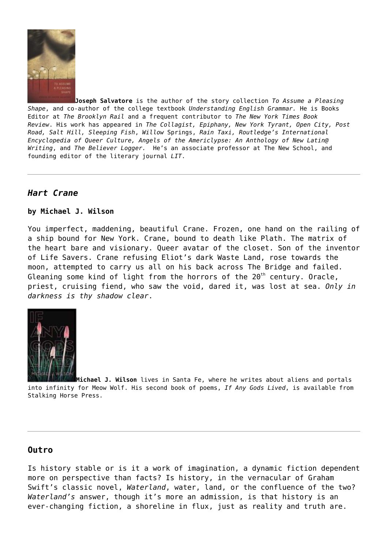

**Joseph Salvatore** is the author of the story collection *To Assume a Pleasing Shape*, and co-author of the college textbook *Understanding English Grammar.* He is Books Editor at *The Brooklyn Rail* and a frequent contributor to *The New York Times Book Review*. His work has appeared in *The Collagist, Epiphany, New York Tyrant, Open City, Post Road, Salt Hill, Sleeping Fish*, *Willow* Springs, *Rain Taxi, Routledge's International Encyclopedia of Queer Culture, Angels of the Americlypse: An Anthology of New Latin@ Writing*, and *The Believer Logger.* He's an associate professor at The New School, and founding editor of the literary journal *LIT*.

# *Hart Crane*

### **by Michael J. Wilson**

You imperfect, maddening, beautiful Crane. Frozen, one hand on the railing of a ship bound for New York. Crane, bound to death like Plath. The matrix of the heart bare and visionary. Queer avatar of the closet. Son of the inventor of Life Savers. Crane refusing Eliot's dark Waste Land, rose towards the moon, attempted to carry us all on his back across The Bridge and failed. Gleaning some kind of light from the horrors of the  $20<sup>th</sup>$  century. Oracle, priest, cruising fiend, who saw the void, dared it, was lost at sea. *Only in darkness is thy shadow clear*.



**[M](https://amzn.to/2ExxVdN)ichael J. Wilson** lives in Santa Fe, where he writes about aliens and portals into infinity for Meow Wolf. His second book of poems, *If Any Gods Lived*, is available from Stalking Horse Press.

## **Outro**

Is history stable or is it a work of imagination, a dynamic fiction dependent more on perspective than facts? Is history, in the vernacular of Graham Swift's classic novel, *Waterland*, water, land, or the confluence of the two? *Waterland's* answer, though it's more an admission, is that history is an ever-changing fiction, a shoreline in flux, just as reality and truth are.